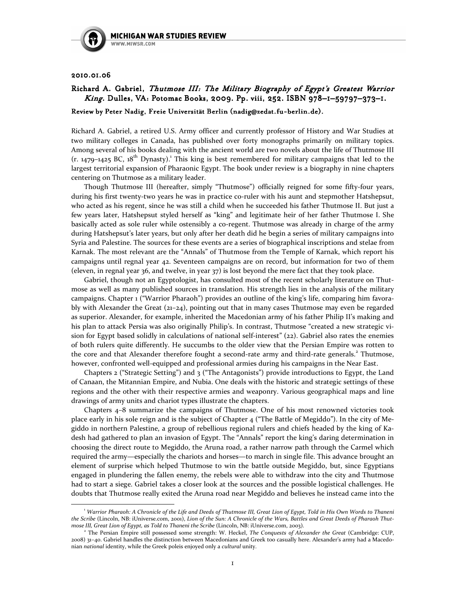

## 2010.01.06 2010.01.06

 $\overline{a}$ 

## Richard A. Gabriel, Thutmose III: The Military Biography of Egypt's Greatest Warrior King. Dulles, VA: Potomac Books, 2009. Pp. viii, 252. ISBN 978-1-59797-373-1.

## Review by Peter Nadig, Freie Universität Berlin (nadig@zedat.fu-berlin.de).

Richard A. Gabriel, a retired U.S. Army officer and currently professor of History and War Studies at two military colleges in Canada, has published over forty monographs primarily on military topics. Among several of his books dealing with the ancient world are two novels about the life of Thutmose III  $(r. 1479-1425$  BC,  $18<sup>th</sup>$  Dynasty).<sup>1</sup> This king is best remembered for military campaigns that led to the largest territorial expansion of Pharaonic Egypt. The book under review is a biography in nine chapters centering on Thutmose as a military leader.

Though Thutmose III (hereafter, simply "Thutmose") officially reigned for some fifty-four years, during his first twenty-two years he was in practice co-ruler with his aunt and stepmother Hatshepsut, who acted as his regent, since he was still a child when he succeeded his father Thutmose II. But just a few years later, Hatshepsut styled herself as "king" and legitimate heir of her father Thutmose I. She basically acted as sole ruler while ostensibly a co-regent. Thutmose was already in charge of the army during Hatshepsut's later years, but only after her death did he begin a series of military campaigns into Syria and Palestine. The sources for these events are a series of biographical inscriptions and stelae from Karnak. The most relevant are the "Annals" of Thutmose from the Temple of Karnak, which report his campaigns until regnal year 42. Seventeen campaigns are on record, but information for two of them (eleven, in regnal year 36, and twelve, in year 37) is lost beyond the mere fact that they took place.

Gabriel, though not an Egyptologist, has consulted most of the recent scholarly literature on Thutmose as well as many published sources in translation. His strength lies in the analysis of the military campaigns. Chapter 1 ("Warrior Pharaoh") provides an outline of the king's life, comparing him favorably with Alexander the Great (21–24), pointing out that in many cases Thutmose may even be regarded as superior. Alexander, for example, inherited the Macedonian army of his father Philip II's making and his plan to attack Persia was also originally Philip's. In contrast, Thutmose "created a new strategic vision for Egypt based solidly in calculations of national self-interest" (22). Gabriel also rates the enemies of both rulers quite differently. He succumbs to the older view that the Persian Empire was rotten to the core and that Alexander therefore fought a second-rate army and third-rate generals.<sup>2</sup> Thutmose, however, confronted well-equipped and professional armies during his campaigns in the Near East.

Chapters 2 ("Strategic Setting") and 3 ("The Antagonists") provide introductions to Egypt, the Land of Canaan, the Mitannian Empire, and Nubia. One deals with the historic and strategic settings of these regions and the other with their respective armies and weaponry. Various geographical maps and line drawings of army units and chariot types illustrate the chapters.

Chapters 4–8 summarize the campaigns of Thutmose. One of his most renowned victories took place early in his sole reign and is the subject of Chapter 4 ("The Battle of Megiddo"). In the city of Megiddo in northern Palestine, a group of rebellious regional rulers and chiefs headed by the king of Kadesh had gathered to plan an invasion of Egypt. The "Annals" report the king's daring determination in choosing the direct route to Megiddo, the Aruna road, a rather narrow path through the Carmel which required the army—especially the chariots and horses—to march in single file. This advance brought an element of surprise which helped Thutmose to win the battle outside Megiddo, but, since Egyptians engaged in plundering the fallen enemy, the rebels were able to withdraw into the city and Thutmose had to start a siege. Gabriel takes a closer look at the sources and the possible logistical challenges. He doubts that Thutmose really exited the Aruna road near Megiddo and believes he instead came into the

<sup>1</sup> Warrior Pharaoh: A Chronicle of the Life and Deeds of Thutmose III, Great Lion of Egypt, Told in His Own Words to Thaneni the Scribe (Lincoln, NB: iUniverse.com, 2001), Lion of the Sun: A Chronicle of the Wars, Battles and Great Deeds of Pharaoh Thutmose III, Great Lion of Egypt, as Told to Thaneni the Scribe (Lincoln, NB: iUniverse.com, 2003).

<sup>&</sup>lt;sup>2</sup> The Persian Empire still possessed some strength: W. Heckel, The Conquests of Alexander the Great (Cambridge: CUP, 2008) 31–40. Gabriel handles the distinction between Macedonians and Greek too casually here. Alexander's army had a Macedonian national identity, while the Greek poleis enjoyed only a cultural unity.